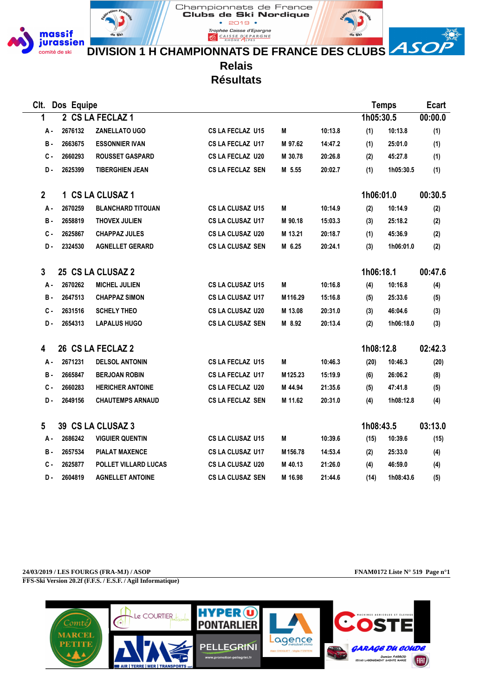

CAISSE D'EPARGNE **DIVISION 1 H CHAMPIONNATS DE FRANCE DES CLUBS**

Championnats de France Clubs de Ski Nordique  $2019$   $\bullet$ .<br>Trophée Caisse d'Epargne

> **Relais Résultats**

**Clt. Dos Equipe Temps Ecart 1 2 CS LA FECLAZ 1 1h05:30.5 00:00.0 A - 2676132 ZANELLATO UGO CS LA FECLAZ U15 M 10:13.8 (1) 10:13.8 (1) B - 2663675 ESSONNIER IVAN CS LA FECLAZ U17 M 97.62 14:47.2 (1) 25:01.0 (1) C - 2660293 ROUSSET GASPARD CS LA FECLAZ U20 M 30.78 20:26.8 (2) 45:27.8 (1) D - 2625399 TIBERGHIEN JEAN CS LA FECLAZ SEN M 5.55 20:02.7 (1) 1h05:30.5 (1) 2 1 CS LA CLUSAZ 1 1h06:01.0 00:30.5 A - 2670259 BLANCHARD TITOUAN CS LA CLUSAZ U15 M 10:14.9 (2) 10:14.9 (2) B - 2658819 THOVEX JULIEN CS LA CLUSAZ U17 M 90.18 15:03.3 (3) 25:18.2 (2) C - 2625867 CHAPPAZ JULES CS LA CLUSAZ U20 M 13.21 20:18.7 (1) 45:36.9 (2) D - 2324530 AGNELLET GERARD CS LA CLUSAZ SEN M 6.25 20:24.1 (3) 1h06:01.0 (2) 3 25 CS LA CLUSAZ 2 1h06:18.1 00:47.6 A - 2670262 MICHEL JULIEN CS LA CLUSAZ U15 M 10:16.8 (4) 10:16.8 (4) B - 2647513 CHAPPAZ SIMON CS LA CLUSAZ U17 M116.29 15:16.8 (5) 25:33.6 (5) C - 2631516 SCHELY THEO CS LA CLUSAZ U20 M 13.08 20:31.0 (3) 46:04.6 (3) D - 2654313 LAPALUS HUGO CS LA CLUSAZ SEN M 8.92 20:13.4 (2) 1h06:18.0 (3) 4 26 CS LA FECLAZ 2 1h08:12.8 02:42.3 A - 2671231 DELSOL ANTONIN CS LA FECLAZ U15 M 10:46.3 (20) 10:46.3 (20) B - 2665847 BERJOAN ROBIN CS LA FECLAZ U17 M125.23 15:19.9 (6) 26:06.2 (8) C - 2660283 HERICHER ANTOINE CS LA FECLAZ U20 M 44.94 21:35.6 (5) 47:41.8 (5) D - 2649156 CHAUTEMPS ARNAUD CS LA FECLAZ SEN M 11.62 20:31.0 (4) 1h08:12.8 (4) 5 39 CS LA CLUSAZ 3 1h08:43.5 03:13.0 A - 2686242 VIGUIER QUENTIN CS LA CLUSAZ U15 M 10:39.6 (15) 10:39.6 (15) B - 2657534 PIALAT MAXENCE CS LA CLUSAZ U17 M156.78 14:53.4 (2) 25:33.0 (4) C - 2625877 POLLET VILLARD LUCAS CS LA CLUSAZ U20 M 40.13 21:26.0 (4) 46:59.0 (4) D - 2604819 AGNELLET ANTOINE CS LA CLUSAZ SEN M 16.98 21:44.6 (14) 1h08:43.6 (5)**

**24/03/2019 / LES FOURGS (FRA-MJ) / ASOP FNAM0172 Liste N° 519 Page n°1 FFS-Ski Version 20.2f (F.F.S. / E.S.F. / Agil Informatique)**

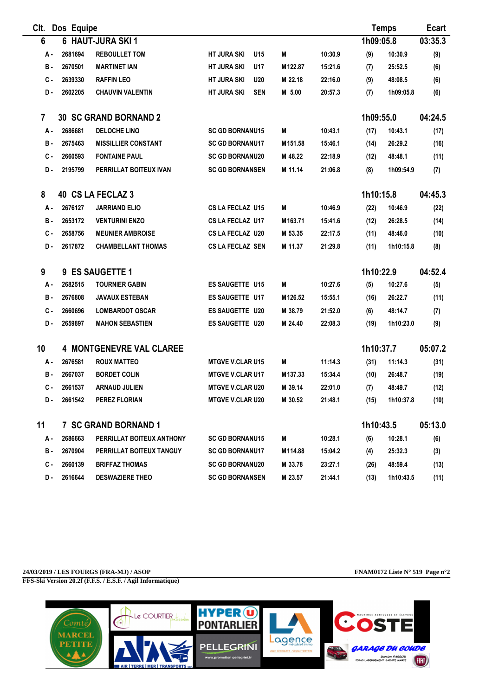| CIt.           | Dos Equipe |                                 |                                  |         |         | <b>Temps</b> | <b>Ecart</b> |         |
|----------------|------------|---------------------------------|----------------------------------|---------|---------|--------------|--------------|---------|
| 6              |            | 6 HAUT-JURA SKI 1               |                                  |         |         | 1h09:05.8    |              | 03:35.3 |
| А.             | 2681694    | <b>REBOULLET TOM</b>            | <b>HT JURA SKI</b><br>U15        | M       | 10:30.9 | (9)          | 10:30.9      | (9)     |
| <b>B</b> -     | 2670501    | <b>MARTINET IAN</b>             | <b>HT JURA SKI</b><br>U17        | M122.87 | 15:21.6 | (7)          | 25:52.5      | (6)     |
| С.             | 2639330    | <b>RAFFIN LEO</b>               | <b>U20</b><br><b>HT JURA SKI</b> | M 22.18 | 22:16.0 | (9)          | 48:08.5      | (6)     |
| D-             | 2602205    | <b>CHAUVIN VALENTIN</b>         | <b>SEN</b><br><b>HT JURA SKI</b> | M 5.00  | 20:57.3 | (7)          | 1h09:05.8    | (6)     |
| $\overline{7}$ |            | <b>30 SC GRAND BORNAND 2</b>    |                                  |         |         | 1h09:55.0    |              | 04:24.5 |
| А.             | 2686681    | <b>DELOCHE LINO</b>             | <b>SC GD BORNANU15</b>           | M       | 10:43.1 | (17)         | 10:43.1      | (17)    |
| в.             | 2675463    | <b>MISSILLIER CONSTANT</b>      | <b>SC GD BORNANU17</b>           | M151.58 | 15:46.1 | (14)         | 26:29.2      | (16)    |
| С.             | 2660593    | <b>FONTAINE PAUL</b>            | <b>SC GD BORNANU20</b>           | M 48.22 | 22:18.9 | (12)         | 48:48.1      | (11)    |
| D.             | 2195799    | PERRILLAT BOITEUX IVAN          | <b>SC GD BORNANSEN</b>           | M 11.14 | 21:06.8 | (8)          | 1h09:54.9    | (7)     |
| 8              |            | 40 CS LA FECLAZ 3               |                                  |         |         | 1h10:15.8    |              | 04:45.3 |
| А.             | 2676127    | <b>JARRIAND ELIO</b>            | <b>CS LA FECLAZ U15</b>          | M       | 10:46.9 | (22)         | 10:46.9      | (22)    |
| в.             | 2653172    | <b>VENTURINI ENZO</b>           | CS LA FECLAZ U17                 | M163.71 | 15:41.6 | (12)         | 26:28.5      | (14)    |
| С.             | 2658756    | <b>MEUNIER AMBROISE</b>         | <b>CS LA FECLAZ U20</b>          | M 53.35 | 22:17.5 | (11)         | 48:46.0      | (10)    |
| D.             | 2617872    | <b>CHAMBELLANT THOMAS</b>       | <b>CS LA FECLAZ SEN</b>          | M 11.37 | 21:29.8 | (11)         | 1h10:15.8    | (8)     |
| 9              |            | 9 ES SAUGETTE 1                 |                                  |         |         | 1h10:22.9    |              | 04:52.4 |
| А.             | 2682515    | <b>TOURNIER GABIN</b>           | <b>ES SAUGETTE U15</b>           | M       | 10:27.6 | (5)          | 10:27.6      | (5)     |
| в.             | 2676808    | <b>JAVAUX ESTEBAN</b>           | ES SAUGETTE U17                  | M126.52 | 15:55.1 | (16)         | 26:22.7      | (11)    |
| с.             | 2660696    | <b>LOMBARDOT OSCAR</b>          | ES SAUGETTE U20                  | M 38.79 | 21:52.0 | (6)          | 48:14.7      | (7)     |
| D.             | 2659897    | <b>MAHON SEBASTIEN</b>          | <b>ES SAUGETTE U20</b>           | M 24.40 | 22:08.3 | (19)         | 1h10:23.0    | (9)     |
| 10             |            | <b>4 MONTGENEVRE VAL CLAREE</b> |                                  |         |         | 1h10:37.7    |              | 05:07.2 |
| А.             | 2676581    | <b>ROUX MATTEO</b>              | <b>MTGVE V.CLAR U15</b>          | M       | 11:14.3 | (31)         | 11:14.3      | (31)    |
| в.             | 2667037    | <b>BORDET COLIN</b>             | <b>MTGVE V.CLAR U17</b>          | M137.33 | 15:34.4 | (10)         | 26:48.7      | (19)    |
| С.             | 2661537    | <b>ARNAUD JULIEN</b>            | <b>MTGVE V.CLAR U20</b>          | M 39.14 | 22:01.0 | (7)          | 48:49.7      | (12)    |
| D.             | 2661542    | <b>PEREZ FLORIAN</b>            | <b>MTGVE V.CLAR U20</b>          | M 30.52 | 21:48.1 | (15)         | 1h10:37.8    | (10)    |
| 11             |            | <b>7 SC GRAND BORNAND 1</b>     |                                  |         |         | 1h10:43.5    |              | 05:13.0 |
| А.             | 2686663    | PERRILLAT BOITEUX ANTHONY       | <b>SC GD BORNANU15</b>           | M       | 10:28.1 | (6)          | 10:28.1      | (6)     |
| в.             | 2670904    | PERRILLAT BOITEUX TANGUY        | <b>SC GD BORNANU17</b>           | M114.88 | 15:04.2 | (4)          | 25:32.3      | (3)     |
| c.             | 2660139    | <b>BRIFFAZ THOMAS</b>           | <b>SC GD BORNANU20</b>           | M 33.78 | 23:27.1 | (26)         | 48:59.4      | (13)    |
| D.             | 2616644    | <b>DESWAZIERE THEO</b>          | <b>SC GD BORNANSEN</b>           | M 23.57 | 21:44.1 | (13)         | 1h10:43.5    | (11)    |

**24/03/2019 / LES FOURGS (FRA-MJ) / ASOP FNAM0172 Liste N° 519 Page n°2 FFS-Ski Version 20.2f (F.F.S. / E.S.F. / Agil Informatique)**

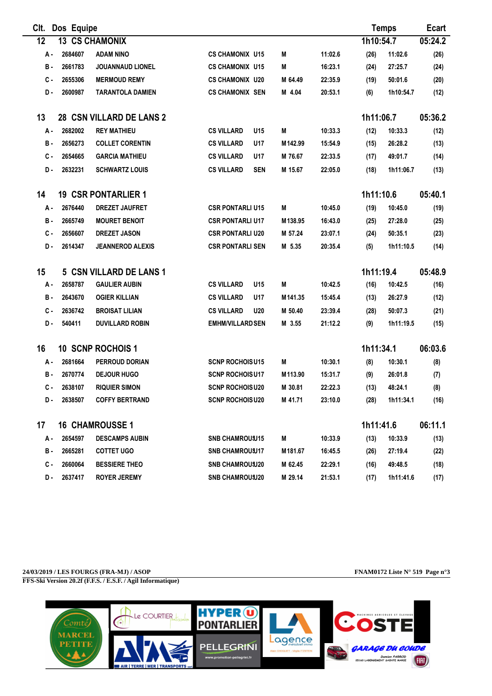| CIt. | Dos Equipe<br><b>Temps</b> |                                |                                 |         |         |           | <b>Ecart</b> |         |
|------|----------------------------|--------------------------------|---------------------------------|---------|---------|-----------|--------------|---------|
| 12   | 13                         | <b>CS CHAMONIX</b>             |                                 |         |         | 1h10:54.7 |              | 05:24.2 |
| А -  | 2684607                    | <b>ADAM NINO</b>               | <b>CS CHAMONIX U15</b>          | M       | 11:02.6 | (26)      | 11:02.6      | (26)    |
| В.   | 2661783                    | <b>JOUANNAUD LIONEL</b>        | <b>CS CHAMONIX U15</b>          | M       | 16:23.1 | (24)      | 27:25.7      | (24)    |
| с.   | 2655306                    | <b>MERMOUD REMY</b>            | <b>CS CHAMONIX U20</b>          | M 64.49 | 22:35.9 | (19)      | 50:01.6      | (20)    |
| D-   | 2600987                    | <b>TARANTOLA DAMIEN</b>        | <b>CS CHAMONIX SEN</b>          | M 4.04  | 20:53.1 | (6)       | 1h10:54.7    | (12)    |
| 13   |                            | 28 CSN VILLARD DE LANS 2       |                                 |         |         | 1h11:06.7 |              | 05:36.2 |
| А.   | 2682002                    | <b>REY MATHIEU</b>             | <b>CS VILLARD</b><br>U15        | M       | 10:33.3 | (12)      | 10:33.3      | (12)    |
| в.   | 2656273                    | <b>COLLET CORENTIN</b>         | <b>CS VILLARD</b><br>U17        | M142.99 | 15:54.9 | (15)      | 26:28.2      | (13)    |
| с.   | 2654665                    | <b>GARCIA MATHIEU</b>          | <b>CS VILLARD</b><br>U17        | M 76.67 | 22:33.5 | (17)      | 49:01.7      | (14)    |
| D.   | 2632231                    | <b>SCHWARTZ LOUIS</b>          | <b>CS VILLARD</b><br><b>SEN</b> | M 15.67 | 22:05.0 | (18)      | 1h11:06.7    | (13)    |
| 14   |                            | <b>19 CSR PONTARLIER 1</b>     |                                 |         |         | 1h11:10.6 |              | 05:40.1 |
| А.   | 2676440                    | <b>DREZET JAUFRET</b>          | <b>CSR PONTARLI U15</b>         | M       | 10:45.0 | (19)      | 10:45.0      | (19)    |
| в.   | 2665749                    | <b>MOURET BENOIT</b>           | <b>CSR PONTARLI U17</b>         | M138.95 | 16:43.0 | (25)      | 27:28.0      | (25)    |
| с.   | 2656607                    | <b>DREZET JASON</b>            | <b>CSR PONTARLI U20</b>         | M 57.24 | 23:07.1 | (24)      | 50:35.1      | (23)    |
| D-   | 2614347                    | <b>JEANNEROD ALEXIS</b>        | <b>CSR PONTARLI SEN</b>         | M 5.35  | 20:35.4 | (5)       | 1h11:10.5    | (14)    |
| 15   |                            | <b>5 CSN VILLARD DE LANS 1</b> |                                 |         |         | 1h11:19.4 |              | 05:48.9 |
| А.   | 2658787                    | <b>GAULIER AUBIN</b>           | <b>CS VILLARD</b><br>U15        | M       | 10:42.5 | (16)      | 10:42.5      | (16)    |
| в.   | 2643670                    | <b>OGIER KILLIAN</b>           | <b>CS VILLARD</b><br>U17        | M141.35 | 15:45.4 | (13)      | 26:27.9      | (12)    |
| с.   | 2636742                    | <b>BROISAT LILIAN</b>          | <b>CS VILLARD</b><br><b>U20</b> | M 50.40 | 23:39.4 | (28)      | 50:07.3      | (21)    |
| D.   | 540411                     | <b>DUVILLARD ROBIN</b>         | <b>EMHM/VILLARD SEN</b>         | M 3.55  | 21:12.2 | (9)       | 1h11:19.5    | (15)    |
| 16   |                            | <b>10 SCNP ROCHOIS 1</b>       |                                 |         |         | 1h11:34.1 |              | 06:03.6 |
| А.   | 2681664                    | <b>PERROUD DORIAN</b>          | <b>SCNP ROCHOISU15</b>          | M       | 10:30.1 | (8)       | 10:30.1      | (8)     |
| в.   | 2670774                    | <b>DEJOUR HUGO</b>             | <b>SCNP ROCHOISU17</b>          | M113.90 | 15:31.7 | (9)       | 26:01.8      | (7)     |
| C -  | 2638107                    | <b>RIQUIER SIMON</b>           | <b>SCNP ROCHOISU20</b>          | M 30.81 | 22:22.3 | (13)      | 48:24.1      | (8)     |
| D.   | 2638507                    | <b>COFFY BERTRAND</b>          | <b>SCNP ROCHOISU20</b>          | M 41.71 | 23:10.0 | (28)      | 1h11:34.1    | (16)    |
| 17   |                            | <b>16 CHAMROUSSE 1</b>         |                                 |         |         | 1h11:41.6 |              | 06:11.1 |
| А.   | 2654597                    | <b>DESCAMPS AUBIN</b>          | <b>SNB CHAMROUSU15</b>          | M       | 10:33.9 | (13)      | 10:33.9      | (13)    |
| в.   | 2665281                    | <b>COTTET UGO</b>              | <b>SNB CHAMROUSU17</b>          | M181.67 | 16:45.5 | (26)      | 27:19.4      | (22)    |
| с.   | 2660064                    | <b>BESSIERE THEO</b>           | <b>SNB CHAMROUSU20</b>          | M 62.45 | 22:29.1 | (16)      | 49:48.5      | (18)    |
| D.   | 2637417                    | <b>ROYER JEREMY</b>            | <b>SNB CHAMROUSU20</b>          | M 29.14 | 21:53.1 | (17)      | 1h11:41.6    | (17)    |

**24/03/2019 / LES FOURGS (FRA-MJ) / ASOP FNAM0172 Liste N° 519 Page n°3 FFS-Ski Version 20.2f (F.F.S. / E.S.F. / Agil Informatique)**

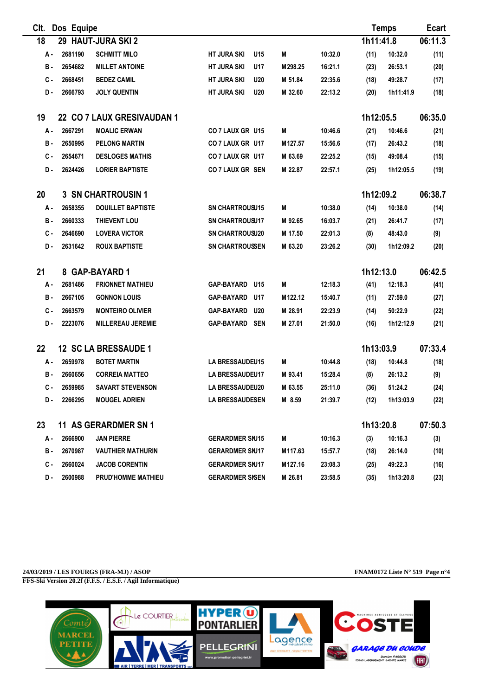| CIt.  | Dos Equipe |                             |                                  |         |         |           | <b>Temps</b> | <b>Ecart</b> |
|-------|------------|-----------------------------|----------------------------------|---------|---------|-----------|--------------|--------------|
| 18    |            | 29 HAUT-JURA SKI 2          |                                  |         |         | 1h11:41.8 |              | 06:11.3      |
| А.    | 2681190    | <b>SCHMITT MILO</b>         | <b>HT JURA SKI</b><br>U15        | М       | 10:32.0 | (11)      | 10:32.0      | (11)         |
| в.    | 2654682    | <b>MILLET ANTOINE</b>       | <b>HT JURA SKI</b><br>U17        | M298.25 | 16:21.1 | (23)      | 26:53.1      | (20)         |
| с.    | 2668451    | <b>BEDEZ CAMIL</b>          | <b>HT JURA SKI</b><br><b>U20</b> | M 51.84 | 22:35.6 | (18)      | 49:28.7      | (17)         |
| D.    | 2666793    | <b>JOLY QUENTIN</b>         | <b>HT JURA SKI</b><br><b>U20</b> | M 32.60 | 22:13.2 | (20)      | 1h11:41.9    | (18)         |
| 19    |            | 22 CO 7 LAUX GRESIVAUDAN 1  |                                  |         |         | 1h12:05.5 |              | 06:35.0      |
| А.    | 2667291    | <b>MOALIC ERWAN</b>         | CO 7 LAUX GR U15                 | М       | 10:46.6 | (21)      | 10:46.6      | (21)         |
| в.    | 2650995    | <b>PELONG MARTIN</b>        | CO 7 LAUX GR U17                 | M127.57 | 15:56.6 | (17)      | 26:43.2      | (18)         |
| с.    | 2654671    | <b>DESLOGES MATHIS</b>      | CO 7 LAUX GR U17                 | M 63.69 | 22:25.2 | (15)      | 49:08.4      | (15)         |
| D.    | 2624426    | <b>LORIER BAPTISTE</b>      | CO 7 LAUX GR SEN                 | M 22.87 | 22:57.1 | (25)      | 1h12:05.5    | (19)         |
| 20    |            | <b>3 SN CHARTROUSIN 1</b>   |                                  |         |         | 1h12:09.2 |              | 06:38.7      |
| А.    | 2658355    | <b>DOUILLET BAPTISTE</b>    | <b>SN CHARTROUSU15</b>           | М       | 10:38.0 | (14)      | 10:38.0      | (14)         |
| в.    | 2660333    | <b>THIEVENT LOU</b>         | <b>SN CHARTROUSU17</b>           | M 92.65 | 16:03.7 | (21)      | 26:41.7      | (17)         |
| с.    | 2646690    | <b>LOVERA VICTOR</b>        | <b>SN CHARTROUSU20</b>           | M 17.50 | 22:01.3 | (8)       | 48:43.0      | (9)          |
| D.    | 2631642    | <b>ROUX BAPTISTE</b>        | <b>SN CHARTROUSSEN</b>           | M 63.20 | 23:26.2 | (30)      | 1h12:09.2    | (20)         |
| 21    |            | 8 GAP-BAYARD 1              |                                  |         |         | 1h12:13.0 |              | 06:42.5      |
| А.    | 2681486    | <b>FRIONNET MATHIEU</b>     | GAP-BAYARD U15                   | M       | 12:18.3 | (41)      | 12:18.3      | (41)         |
| в.    | 2667105    | <b>GONNON LOUIS</b>         | GAP-BAYARD<br>U17                | M122.12 | 15:40.7 | (11)      | 27:59.0      | (27)         |
| $c -$ | 2663579    | <b>MONTEIRO OLIVIER</b>     | <b>GAP-BAYARD</b><br><b>U20</b>  | M 28.91 | 22:23.9 | (14)      | 50:22.9      | (22)         |
| D.    | 2223076    | <b>MILLEREAU JEREMIE</b>    | GAP-BAYARD SEN                   | M 27.01 | 21:50.0 | (16)      | 1h12:12.9    | (21)         |
| 22    |            | 12 SC LA BRESSAUDE 1        |                                  |         |         | 1h13:03.9 |              | 07:33.4      |
| А.    | 2659978    | <b>BOTET MARTIN</b>         | LA BRESSAUDEU15                  | M       | 10:44.8 | (18)      | 10:44.8      | (18)         |
| в.    | 2660656    | <b>CORREIA MATTEO</b>       | <b>LA BRESSAUDEU17</b>           | M 93.41 | 15:28.4 | (8)       | 26:13.2      | (9)          |
| C -   | 2659985    | <b>SAVART STEVENSON</b>     | <b>LA BRESSAUDEU20</b>           | M 63.55 | 25:11.0 | (36)      | 51:24.2      | (24)         |
| D.    | 2266295    | <b>MOUGEL ADRIEN</b>        | LA BRESSAUDESEN                  | M 8.59  | 21:39.7 | (12)      | 1h13:03.9    | (22)         |
| 23    |            | <b>11 AS GERARDMER SN 1</b> |                                  |         |         | 1h13:20.8 |              | 07:50.3      |
| А.    | 2666900    | <b>JAN PIERRE</b>           | <b>GERARDMER SNJ15</b>           | M       | 10:16.3 | (3)       | 10:16.3      | (3)          |
| в.    | 2670987    | <b>VAUTHIER MATHURIN</b>    | <b>GERARDMER SNJ17</b>           | M117.63 | 15:57.7 | (18)      | 26:14.0      | (10)         |
| c.    | 2660024    | <b>JACOB CORENTIN</b>       | <b>GERARDMER SNJ17</b>           | M127.16 | 23:08.3 | (25)      | 49:22.3      | (16)         |
| D.    | 2600988    | PRUD'HOMME MATHIEU          | <b>GERARDMER SISEN</b>           | M 26.81 | 23:58.5 | (35)      | 1h13:20.8    | (23)         |

**24/03/2019 / LES FOURGS (FRA-MJ) / ASOP FNAM0172 Liste N° 519 Page n°4 FFS-Ski Version 20.2f (F.F.S. / E.S.F. / Agil Informatique)**

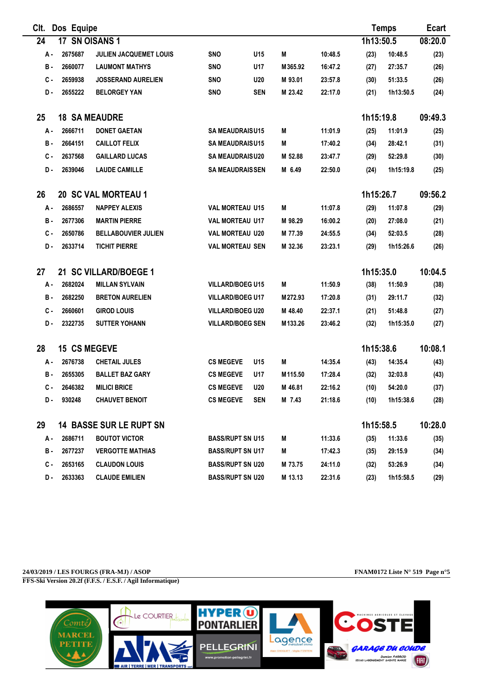| CIt.       | Dos Equipe          |                                |                         |                 |         |         |           | <b>Temps</b> | <b>Ecart</b> |
|------------|---------------------|--------------------------------|-------------------------|-----------------|---------|---------|-----------|--------------|--------------|
| 24         | 17 SN OISANS 1      |                                |                         |                 |         |         | 1h13:50.5 |              | 08:20.0      |
| А.         | 2675687             | JULIEN JACQUEMET LOUIS         | SNO                     | U <sub>15</sub> | M       | 10:48.5 | (23)      | 10:48.5      | (23)         |
| <b>B</b> - | 2660077             | <b>LAUMONT MATHYS</b>          | <b>SNO</b>              | U17             | M365.92 | 16:47.2 | (27)      | 27:35.7      | (26)         |
| С.         | 2659938             | <b>JOSSERAND AURELIEN</b>      | <b>SNO</b>              | <b>U20</b>      | M 93.01 | 23:57.8 | (30)      | 51:33.5      | (26)         |
| D-         | 2655222             | <b>BELORGEY YAN</b>            | <b>SNO</b>              | <b>SEN</b>      | M 23.42 | 22:17.0 | (21)      | 1h13:50.5    | (24)         |
| 25         |                     | <b>18 SA MEAUDRE</b>           |                         |                 |         |         | 1h15:19.8 |              | 09:49.3      |
| А -        | 2666711             | <b>DONET GAETAN</b>            | <b>SA MEAUDRAISU15</b>  |                 | М       | 11:01.9 | (25)      | 11:01.9      | (25)         |
| в.         | 2664151             | <b>CAILLOT FELIX</b>           | <b>SA MEAUDRAISU15</b>  |                 | M       | 17:40.2 | (34)      | 28:42.1      | (31)         |
| $c -$      | 2637568             | <b>GAILLARD LUCAS</b>          | <b>SA MEAUDRAISU20</b>  |                 | M 52.88 | 23:47.7 | (29)      | 52:29.8      | (30)         |
| D.         | 2639046             | <b>LAUDE CAMILLE</b>           | <b>SA MEAUDRAISSEN</b>  |                 | M 6.49  | 22:50.0 | (24)      | 1h15:19.8    | (25)         |
| 26         |                     | 20 SC VAL MORTEAU 1            |                         |                 |         |         | 1h15:26.7 |              | 09:56.2      |
| A -        | 2686557             | <b>NAPPEY ALEXIS</b>           | <b>VAL MORTEAU U15</b>  |                 | M       | 11:07.8 | (29)      | 11:07.8      | (29)         |
| в.         | 2677306             | <b>MARTIN PIERRE</b>           | <b>VAL MORTEAU U17</b>  |                 | M 98.29 | 16:00.2 | (20)      | 27:08.0      | (21)         |
| $c -$      | 2650786             | <b>BELLABOUVIER JULIEN</b>     | <b>VAL MORTEAU U20</b>  |                 | M 77.39 | 24:55.5 | (34)      | 52:03.5      | (28)         |
| D.         | 2633714             | <b>TICHIT PIERRE</b>           | <b>VAL MORTEAU SEN</b>  |                 | M 32.36 | 23:23.1 | (29)      | 1h15:26.6    | (26)         |
| 27         |                     | 21 SC VILLARD/BOEGE 1          |                         |                 |         |         | 1h15:35.0 |              | 10:04.5      |
| А.         | 2682024             | <b>MILLAN SYLVAIN</b>          | <b>VILLARD/BOEG U15</b> |                 | M       | 11:50.9 | (38)      | 11:50.9      | (38)         |
| в.         | 2682250             | <b>BRETON AURELIEN</b>         | <b>VILLARD/BOEG U17</b> |                 | M272.93 | 17:20.8 | (31)      | 29:11.7      | (32)         |
| с.         | 2660601             | <b>GIROD LOUIS</b>             | <b>VILLARD/BOEG U20</b> |                 | M 48.40 | 22:37.1 | (21)      | 51:48.8      | (27)         |
| D.         | 2322735             | <b>SUTTER YOHANN</b>           | <b>VILLARD/BOEG SEN</b> |                 | M133.26 | 23:46.2 | (32)      | 1h15:35.0    | (27)         |
| 28         | <b>15 CS MEGEVE</b> |                                |                         |                 |         |         | 1h15:38.6 |              | 10:08.1      |
| А -        | 2676738             | <b>CHETAIL JULES</b>           | <b>CS MEGEVE</b>        | U15             | M       | 14:35.4 | (43)      | 14:35.4      | (43)         |
| в.         | 2655305             | <b>BALLET BAZ GARY</b>         | <b>CS MEGEVE</b>        | U17             | M115.50 | 17:28.4 | (32)      | 32:03.8      | (43)         |
| $c -$      | 2646382             | <b>MILICI BRICE</b>            | <b>CS MEGEVE</b>        | <b>U20</b>      | M 46.81 | 22:16.2 | (10)      | 54:20.0      | (37)         |
| D.         | 930248              | <b>CHAUVET BENOIT</b>          | <b>CS MEGEVE</b>        | <b>SEN</b>      | M 7.43  | 21:18.6 | (10)      | 1h15:38.6    | (28)         |
| 29         |                     | <b>14 BASSE SUR LE RUPT SN</b> |                         |                 |         |         | 1h15:58.5 |              | 10:28.0      |
| А.         | 2686711             | <b>BOUTOT VICTOR</b>           | <b>BASS/RUPT SN U15</b> |                 | M       | 11:33.6 | (35)      | 11:33.6      | (35)         |
| в.         | 2677237             | <b>VERGOTTE MATHIAS</b>        | <b>BASS/RUPT SN U17</b> |                 | M       | 17:42.3 | (35)      | 29:15.9      | (34)         |
| С.         | 2653165             | <b>CLAUDON LOUIS</b>           | <b>BASS/RUPT SN U20</b> |                 | M 73.75 | 24:11.0 | (32)      | 53:26.9      | (34)         |
| D-         | 2633363             | <b>CLAUDE EMILIEN</b>          | <b>BASS/RUPT SN U20</b> |                 | M 13.13 | 22:31.6 | (23)      | 1h15:58.5    | (29)         |

**24/03/2019 / LES FOURGS (FRA-MJ) / ASOP FNAM0172 Liste N° 519 Page n°5 FFS-Ski Version 20.2f (F.F.S. / E.S.F. / Agil Informatique)**

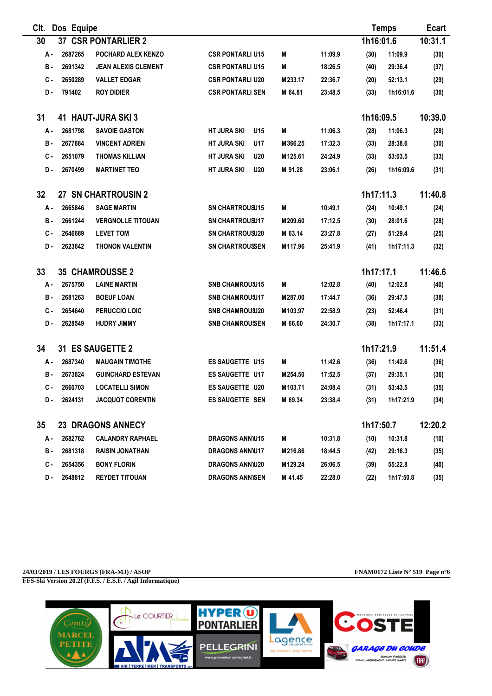| CIt. | Dos Equipe |                            |                                  |                     |         |           | <b>Temps</b> | Ecart   |
|------|------------|----------------------------|----------------------------------|---------------------|---------|-----------|--------------|---------|
| 30   |            | <b>37 CSR PONTARLIER 2</b> |                                  |                     |         | 1h16:01.6 |              | 10:31.1 |
| А.   | 2687265    | POCHARD ALEX KENZO         | <b>CSR PONTARLI U15</b>          | M                   | 11:09.9 | (30)      | 11:09.9      | (30)    |
| в.   | 2691342    | <b>JEAN ALEXIS CLEMENT</b> | <b>CSR PONTARLI U15</b>          | Μ                   | 18:26.5 | (40)      | 29:36.4      | (37)    |
| с.   | 2650289    | <b>VALLET EDGAR</b>        | <b>CSR PONTARLI U20</b>          | M233.17             | 22:36.7 | (20)      | 52:13.1      | (29)    |
| D.   | 791402     | <b>ROY DIDIER</b>          | <b>CSR PONTARLI SEN</b>          | M 64.81             | 23:48.5 | (33)      | 1h16:01.6    | (30)    |
| 31   |            | 41 HAUT-JURA SKI 3         |                                  |                     |         | 1h16:09.5 |              | 10:39.0 |
| А.   | 2681798    | <b>SAVOIE GASTON</b>       | <b>HT JURA SKI</b><br>U15        | M                   | 11:06.3 | (28)      | 11:06.3      | (28)    |
| в.   | 2677884    | <b>VINCENT ADRIEN</b>      | <b>HT JURA SKI</b><br>U17        | M366.25             | 17:32.3 | (33)      | 28:38.6      | (30)    |
| с.   | 2651079    | <b>THOMAS KILLIAN</b>      | <b>HT JURA SKI</b><br><b>U20</b> | M125.61             | 24:24.9 | (33)      | 53:03.5      | (33)    |
| D.   | 2670499    | <b>MARTINET TEO</b>        | <b>HT JURA SKI</b><br><b>U20</b> | M 91.28             | 23:06.1 | (26)      | 1h16:09.6    | (31)    |
| 32   |            | 27 SN CHARTROUSIN 2        |                                  |                     |         | 1h17:11.3 |              | 11:40.8 |
| А.   | 2665846    | <b>SAGE MARTIN</b>         | <b>SN CHARTROUSU15</b>           | M                   | 10:49.1 | (24)      | 10:49.1      | (24)    |
| в.   | 2661244    | <b>VERGNOLLE TITOUAN</b>   | <b>SN CHARTROUSU17</b>           | M209.60             | 17:12.5 | (30)      | 28:01.6      | (28)    |
| с.   | 2646689    | <b>LEVET TOM</b>           | <b>SN CHARTROUSU20</b>           | M 63.14             | 23:27.8 | (27)      | 51:29.4      | (25)    |
| D.   | 2623642    | <b>THONON VALENTIN</b>     | <b>SN CHARTROUSSEN</b>           | M117.96             | 25:41.9 | (41)      | 1h17:11.3    | (32)    |
| 33   |            | <b>35 CHAMROUSSE 2</b>     |                                  |                     |         | 1h17:17.1 |              | 11:46.6 |
| А.   | 2675750    | <b>LAINE MARTIN</b>        | <b>SNB CHAMROUSU15</b>           | M                   | 12:02.8 | (40)      | 12:02.8      | (40)    |
| в.   | 2681263    | <b>BOEUF LOAN</b>          | <b>SNB CHAMROUSU17</b>           | M287.00             | 17:44.7 | (36)      | 29:47.5      | (38)    |
| с.   | 2654640    | PERUCCIO LOIC              | <b>SNB CHAMROUSU20</b>           | M103.97             | 22:58.9 | (23)      | 52:46.4      | (31)    |
| D.   | 2628549    | <b>HUDRY JIMMY</b>         | <b>SNB CHAMROUSEN</b>            | M 66.60             | 24:30.7 | (38)      | 1h17:17.1    | (33)    |
| 34   |            | 31 ES SAUGETTE 2           |                                  |                     |         | 1h17:21.9 |              | 11:51.4 |
| А.   | 2687340    | <b>MAUGAIN TIMOTHE</b>     | ES SAUGETTE U15                  | M                   | 11:42.6 | (36)      | 11:42.6      | (36)    |
| в.   | 2673824    | <b>GUINCHARD ESTEVAN</b>   | <b>ES SAUGETTE U17</b>           | M <sub>254.50</sub> | 17:52.5 | (37)      | 29:35.1      | (36)    |
| C -  | 2660703    | <b>LOCATELLI SIMON</b>     | <b>ES SAUGETTE U20</b>           | M103.71             | 24:08.4 | (31)      | 53:43.5      | (35)    |
| D.   | 2624131    | <b>JACQUOT CORENTIN</b>    | ES SAUGETTE SEN                  | M 69.34             | 23:38.4 | (31)      | 1h17:21.9    | (34)    |
| 35   |            | <b>23 DRAGONS ANNECY</b>   |                                  |                     |         | 1h17:50.7 |              | 12:20.2 |
| А.   | 2682762    | <b>CALANDRY RAPHAEL</b>    | <b>DRAGONS ANNU15</b>            | M                   | 10:31.8 | (10)      | 10:31.8      | (10)    |
| в.   | 2681318    | <b>RAISIN JONATHAN</b>     | <b>DRAGONS ANNW17</b>            | M216.86             | 18:44.5 | (42)      | 29:16.3      | (35)    |
| с.   | 2654356    | <b>BONY FLORIN</b>         | <b>DRAGONS ANNW20</b>            | M129.24             | 26:06.5 | (39)      | 55:22.8      | (40)    |
| D.   | 2648812    | <b>REYDET TITOUAN</b>      | <b>DRAGONS ANNISEN</b>           | M 41.45             | 22:28.0 | (22)      | 1h17:50.8    | (35)    |

**24/03/2019 / LES FOURGS (FRA-MJ) / ASOP FNAM0172 Liste N° 519 Page n°6 FFS-Ski Version 20.2f (F.F.S. / E.S.F. / Agil Informatique)**

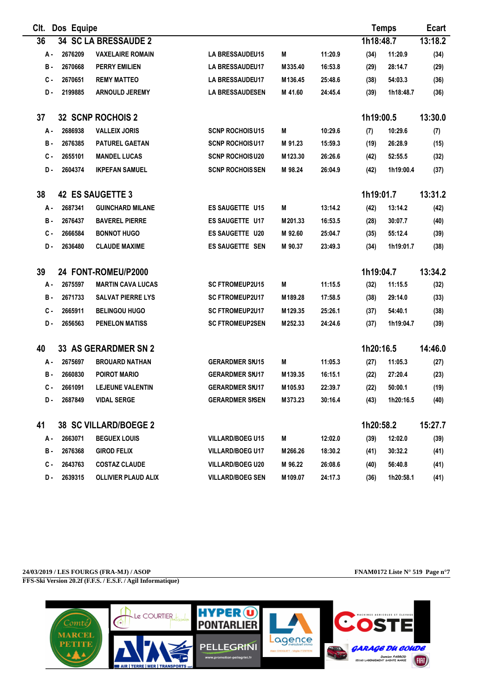| CIt. | Dos Equipe |                              |                         |         |         |           | <b>Temps</b> | <b>Ecart</b> |
|------|------------|------------------------------|-------------------------|---------|---------|-----------|--------------|--------------|
| 36   |            | 34 SC LA BRESSAUDE 2         |                         |         |         | 1h18:48.7 |              | 13:18.2      |
| А.   | 2676209    | <b>VAXELAIRE ROMAIN</b>      | LA BRESSAUDEU15         | M       | 11:20.9 | (34)      | 11:20.9      | (34)         |
| в.   | 2670668    | <b>PERRY EMILIEN</b>         | <b>LA BRESSAUDEU17</b>  | M335.40 | 16:53.8 | (29)      | 28:14.7      | (29)         |
| с.   | 2670651    | <b>REMY MATTEO</b>           | <b>LA BRESSAUDEU17</b>  | M136.45 | 25:48.6 | (38)      | 54:03.3      | (36)         |
| D-   | 2199885    | <b>ARNOULD JEREMY</b>        | <b>LA BRESSAUDESEN</b>  | M 41.60 | 24:45.4 | (39)      | 1h18:48.7    | (36)         |
| 37   |            | 32 SCNP ROCHOIS 2            |                         |         |         | 1h19:00.5 |              | 13:30.0      |
| А.   | 2686938    | <b>VALLEIX JORIS</b>         | <b>SCNP ROCHOISU15</b>  | M       | 10:29.6 | (7)       | 10:29.6      | (7)          |
| в.   | 2676385    | <b>PATUREL GAETAN</b>        | <b>SCNP ROCHOISU17</b>  | M 91.23 | 15:59.3 | (19)      | 26:28.9      | (15)         |
| C -  | 2655101    | <b>MANDEL LUCAS</b>          | <b>SCNP ROCHOISU20</b>  | M123.30 | 26:26.6 | (42)      | 52:55.5      | (32)         |
| D.   | 2604374    | <b>IKPEFAN SAMUEL</b>        | <b>SCNP ROCHOISSEN</b>  | M 98.24 | 26:04.9 | (42)      | 1h19:00.4    | (37)         |
| 38   |            | <b>42 ES SAUGETTE 3</b>      |                         |         |         | 1h19:01.7 |              | 13:31.2      |
| А -  | 2687341    | <b>GUINCHARD MILANE</b>      | <b>ES SAUGETTE U15</b>  | M       | 13:14.2 | (42)      | 13:14.2      | (42)         |
| в.   | 2676437    | <b>BAVEREL PIERRE</b>        | <b>ES SAUGETTE U17</b>  | M201.33 | 16:53.5 | (28)      | 30:07.7      | (40)         |
| C -  | 2666584    | <b>BONNOT HUGO</b>           | <b>ES SAUGETTE U20</b>  | M 92.60 | 25:04.7 | (35)      | 55:12.4      | (39)         |
| D-   | 2636480    | <b>CLAUDE MAXIME</b>         | <b>ES SAUGETTE SEN</b>  | M 90.37 | 23:49.3 | (34)      | 1h19:01.7    | (38)         |
| 39   |            | 24 FONT-ROMEU/P2000          |                         |         |         | 1h19:04.7 |              | 13:34.2      |
| А.   | 2675597    | <b>MARTIN CAVA LUCAS</b>     | <b>SC FTROMEUP2U15</b>  | M       | 11:15.5 | (32)      | 11:15.5      | (32)         |
| в.   | 2671733    | <b>SALVAT PIERRE LYS</b>     | <b>SC FTROMEUP2U17</b>  | M189.28 | 17:58.5 | (38)      | 29:14.0      | (33)         |
| с.   | 2665911    | <b>BELINGOU HUGO</b>         | <b>SC FTROMEUP2U17</b>  | M129.35 | 25:26.1 | (37)      | 54:40.1      | (38)         |
| D-   | 2656563    | <b>PENELON MATISS</b>        | <b>SC FTROMEUP2SEN</b>  | M252.33 | 24:24.6 | (37)      | 1h19:04.7    | (39)         |
| 40   |            | 33 AS GERARDMER SN 2         |                         |         |         | 1h20:16.5 |              | 14:46.0      |
| А.   | 2675697    | <b>BROUARD NATHAN</b>        | <b>GERARDMER SNJ15</b>  | M       | 11:05.3 | (27)      | 11:05.3      | (27)         |
| в.   | 2660830    | <b>POIROT MARIO</b>          | <b>GERARDMER SNJ17</b>  | M139.35 | 16:15.1 | (22)      | 27:20.4      | (23)         |
| C -  | 2661091    | <b>LEJEUNE VALENTIN</b>      | <b>GERARDMER SNJ17</b>  | M105.93 | 22:39.7 | (22)      | 50:00.1      | (19)         |
| D.   | 2687849    | <b>VIDAL SERGE</b>           | <b>GERARDMER SISEN</b>  | M373.23 | 30:16.4 | (43)      | 1h20:16.5    | (40)         |
| 41   |            | <b>38 SC VILLARD/BOEGE 2</b> |                         |         |         | 1h20:58.2 |              | 15:27.7      |
| А.   | 2663071    | <b>BEGUEX LOUIS</b>          | <b>VILLARD/BOEG U15</b> | М       | 12:02.0 | (39)      | 12:02.0      | (39)         |
| в.   | 2676368    | <b>GIROD FELIX</b>           | <b>VILLARD/BOEG U17</b> | M266.26 | 18:30.2 | (41)      | 30:32.2      | (41)         |
| с.   | 2643763    | <b>COSTAZ CLAUDE</b>         | <b>VILLARD/BOEG U20</b> | M 96.22 | 26:08.6 | (40)      | 56:40.8      | (41)         |
| D.   | 2639315    | <b>OLLIVIER PLAUD ALIX</b>   | <b>VILLARD/BOEG SEN</b> | M109.07 | 24:17.3 | (36)      | 1h20:58.1    | (41)         |

**24/03/2019 / LES FOURGS (FRA-MJ) / ASOP FNAM0172 Liste N° 519 Page n°7 FFS-Ski Version 20.2f (F.F.S. / E.S.F. / Agil Informatique)**